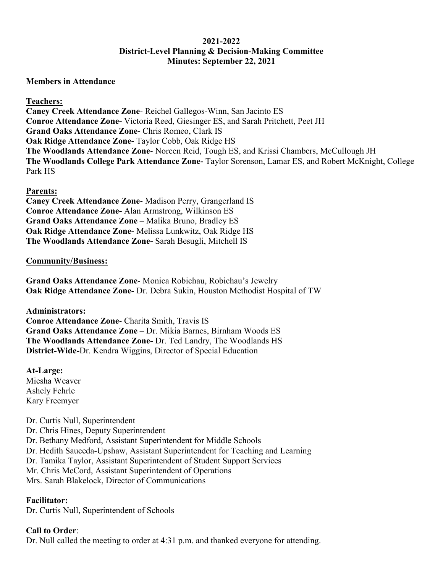### **2021-2022 District-Level Planning & Decision-Making Committee Minutes: September 22, 2021**

#### **Members in Attendance**

#### **Teachers:**

**Caney Creek Attendance Zone**- Reichel Gallegos-Winn, San Jacinto ES **Conroe Attendance Zone-** Victoria Reed, Giesinger ES, and Sarah Pritchett, Peet JH **Grand Oaks Attendance Zone-** Chris Romeo, Clark IS **Oak Ridge Attendance Zone-** Taylor Cobb, Oak Ridge HS **The Woodlands Attendance Zone**- Noreen Reid, Tough ES, and Krissi Chambers, McCullough JH **The Woodlands College Park Attendance Zone-** Taylor Sorenson, Lamar ES, and Robert McKnight, College Park HS

#### **Parents:**

**Caney Creek Attendance Zone**- Madison Perry, Grangerland IS **Conroe Attendance Zone-** Alan Armstrong, Wilkinson ES **Grand Oaks Attendance Zone** – Malika Bruno, Bradley ES **Oak Ridge Attendance Zone-** Melissa Lunkwitz, Oak Ridge HS **The Woodlands Attendance Zone-** Sarah Besugli, Mitchell IS

#### **Community/Business:**

**Grand Oaks Attendance Zone**- Monica Robichau, Robichau's Jewelry **Oak Ridge Attendance Zone-** Dr. Debra Sukin, Houston Methodist Hospital of TW

**Administrators: Conroe Attendance Zone**- Charita Smith, Travis IS **Grand Oaks Attendance Zone** – Dr. Mikia Barnes, Birnham Woods ES **The Woodlands Attendance Zone-** Dr. Ted Landry, The Woodlands HS **District-Wide-**Dr. Kendra Wiggins, Director of Special Education

**At-Large:** Miesha Weaver Ashely Fehrle Kary Freemyer

Dr. Curtis Null, Superintendent

- Dr. Chris Hines, Deputy Superintendent Dr. Bethany Medford, Assistant Superintendent for Middle Schools Dr. Hedith Sauceda-Upshaw, Assistant Superintendent for Teaching and Learning Dr. Tamika Taylor, Assistant Superintendent of Student Support Services
- Mr. Chris McCord, Assistant Superintendent of Operations
- Mrs. Sarah Blakelock, Director of Communications

#### **Facilitator:**

Dr. Curtis Null, Superintendent of Schools

#### **Call to Order**:

Dr. Null called the meeting to order at 4:31 p.m. and thanked everyone for attending.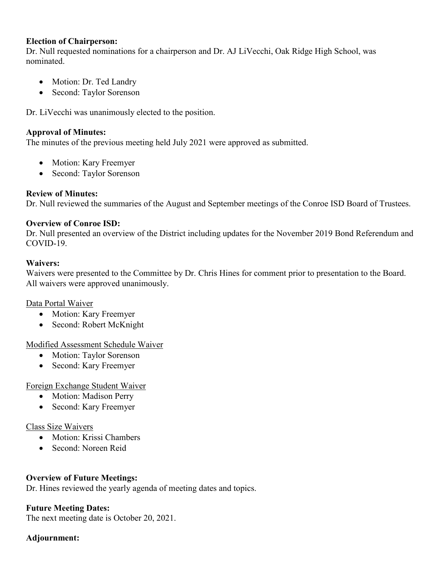#### **Election of Chairperson:**

Dr. Null requested nominations for a chairperson and Dr. AJ LiVecchi, Oak Ridge High School, was nominated.

- Motion: Dr. Ted Landry
- Second: Taylor Sorenson

Dr. LiVecchi was unanimously elected to the position.

### **Approval of Minutes:**

The minutes of the previous meeting held July 2021 were approved as submitted.

- Motion: Kary Freemyer
- Second: Taylor Sorenson

# **Review of Minutes:**

Dr. Null reviewed the summaries of the August and September meetings of the Conroe ISD Board of Trustees.

# **Overview of Conroe ISD:**

Dr. Null presented an overview of the District including updates for the November 2019 Bond Referendum and COVID-19.

# **Waivers:**

Waivers were presented to the Committee by Dr. Chris Hines for comment prior to presentation to the Board. All waivers were approved unanimously.

#### Data Portal Waiver

- Motion: Kary Freemyer
- Second: Robert McKnight

# Modified Assessment Schedule Waiver

- Motion: Taylor Sorenson
- Second: Kary Freemyer

# Foreign Exchange Student Waiver

- Motion: Madison Perry
- Second: Kary Freemyer

# Class Size Waivers

- Motion: Krissi Chambers
- Second: Noreen Reid

# **Overview of Future Meetings:**

Dr. Hines reviewed the yearly agenda of meeting dates and topics.

# **Future Meeting Dates:**

The next meeting date is October 20, 2021.

# **Adjournment:**